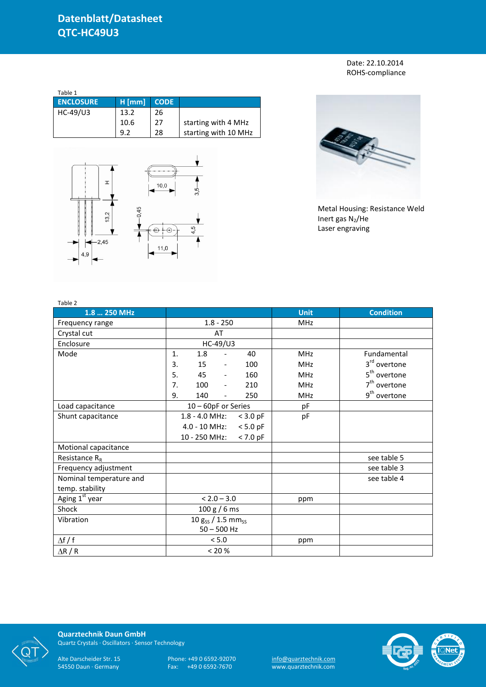Date: 22.10.2014 ROHS-compliance

| Table 1          |          |             |                      |
|------------------|----------|-------------|----------------------|
| <b>ENCLOSURE</b> | $H$ [mm] | <b>CODE</b> |                      |
| HC-49/U3         | 13.2     | 26          |                      |
|                  | 10.6     | 27          | starting with 4 MHz  |
|                  | 92       | 28          | starting with 10 MHz |





Metal Housing: Resistance Weld Inert gas  $N_2$ /He Laser engraving

| Table 2                    |                                              |             |                          |
|----------------------------|----------------------------------------------|-------------|--------------------------|
| 1.8  250 MHz               |                                              | <b>Unit</b> | <b>Condition</b>         |
| Frequency range            | $1.8 - 250$                                  | <b>MHz</b>  |                          |
| Crystal cut                | AT                                           |             |                          |
| Enclosure                  | $HC-49/U3$                                   |             |                          |
| Mode                       | 1.<br>1.8<br>40<br>$\overline{\phantom{a}}$  | <b>MHz</b>  | Fundamental              |
|                            | 3.<br>15<br>100<br>$\overline{\phantom{a}}$  | <b>MHz</b>  | 3rd overtone             |
|                            | 5.<br>45<br>160<br>$\overline{\phantom{a}}$  | <b>MHz</b>  | 5 <sup>th</sup> overtone |
|                            | 7.<br>100<br>210<br>$\overline{\phantom{a}}$ | <b>MHz</b>  | $7th$ overtone           |
|                            | 140<br>9.<br>250<br>$\overline{\phantom{a}}$ | MHz         | 9 <sup>th</sup> overtone |
| Load capacitance           | 10 - 60pF or Series                          | pF          |                          |
| Shunt capacitance          | $1.8 - 4.0$ MHz:<br>$<$ 3.0 pF               | pF          |                          |
|                            | 4.0 - 10 MHz:<br>$< 5.0$ pF                  |             |                          |
|                            | 10 - 250 MHz:<br>$< 7.0$ pF                  |             |                          |
| Motional capacitance       |                                              |             |                          |
| Resistance $R_R$           |                                              |             | see table 5              |
| Frequency adjustment       |                                              |             | see table 3              |
| Nominal temperature and    |                                              |             | see table 4              |
| temp. stability            |                                              |             |                          |
| Aging 1 <sup>st</sup> year | $< 2.0 - 3.0$                                | ppm         |                          |
| Shock                      | 100 g / 6 ms                                 |             |                          |
| Vibration                  | 10 $g_{SS}$ / 1.5 mm <sub>ss</sub>           |             |                          |
|                            | $50 - 500$ Hz                                |             |                          |
| $\Delta f / f$             | < 5.0                                        | ppm         |                          |
| $\Delta$ R / R             | < 20 %                                       |             |                          |



**Quarztechnik Daun GmbH** Quartz Crystals · Oscillators · Sensor Technology

Alte Darscheider Str. 15 Phone: +49 0 6592-92070 <u>info@quarztechnik.com</u>

54550 Daun · Germany Fax: +49 0 6592-7670 www.quarztechnik.com